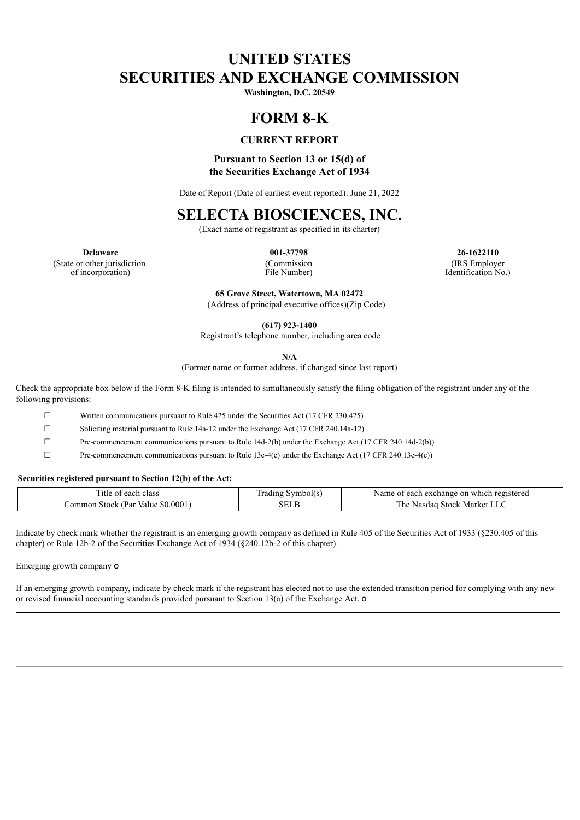# **UNITED STATES SECURITIES AND EXCHANGE COMMISSION**

**Washington, D.C. 20549**

## **FORM 8-K**

### **CURRENT REPORT**

### **Pursuant to Section 13 or 15(d) of the Securities Exchange Act of 1934**

Date of Report (Date of earliest event reported): June 21, 2022

## **SELECTA BIOSCIENCES, INC.**

(Exact name of registrant as specified in its charter)

(State or other jurisdiction of incorporation)

(Commission File Number)

**Delaware 001-37798 26-1622110** (IRS Employer Identification No.)

> **65 Grove Street, Watertown, MA 02472** (Address of principal executive offices)(Zip Code)

> > **(617) 923-1400**

Registrant's telephone number, including area code

**N/A**

(Former name or former address, if changed since last report)

Check the appropriate box below if the Form 8-K filing is intended to simultaneously satisfy the filing obligation of the registrant under any of the following provisions:

☐ Written communications pursuant to Rule 425 under the Securities Act (17 CFR 230.425)

☐ Soliciting material pursuant to Rule 14a-12 under the Exchange Act (17 CFR 240.14a-12)

☐ Pre-commencement communications pursuant to Rule 14d-2(b) under the Exchange Act (17 CFR 240.14d-2(b))

☐ Pre-commencement communications pursuant to Rule 13e-4(c) under the Exchange Act (17 CFR 240.13e-4(c))

#### **Securities registered pursuant to Section 12(b) of the Act:**

| --<br>' Itl<br>class<br>each<br>$\sim$                   | radin<br>nholl | each<br>registered<br>Name of<br>which<br>exchange<br>n     |
|----------------------------------------------------------|----------------|-------------------------------------------------------------|
| 0001<br>(Par<br>_ommon *<br><b>Stock</b><br>Value<br>NO. | . н            | ---<br>1 he<br>. $510cV$<br>Market<br>.dac<br>Na.<br>◡<br>◡ |

Indicate by check mark whether the registrant is an emerging growth company as defined in Rule 405 of the Securities Act of 1933 (§230.405 of this chapter) or Rule 12b-2 of the Securities Exchange Act of 1934 (§240.12b-2 of this chapter).

Emerging growth company o

If an emerging growth company, indicate by check mark if the registrant has elected not to use the extended transition period for complying with any new or revised financial accounting standards provided pursuant to Section 13(a) of the Exchange Act. o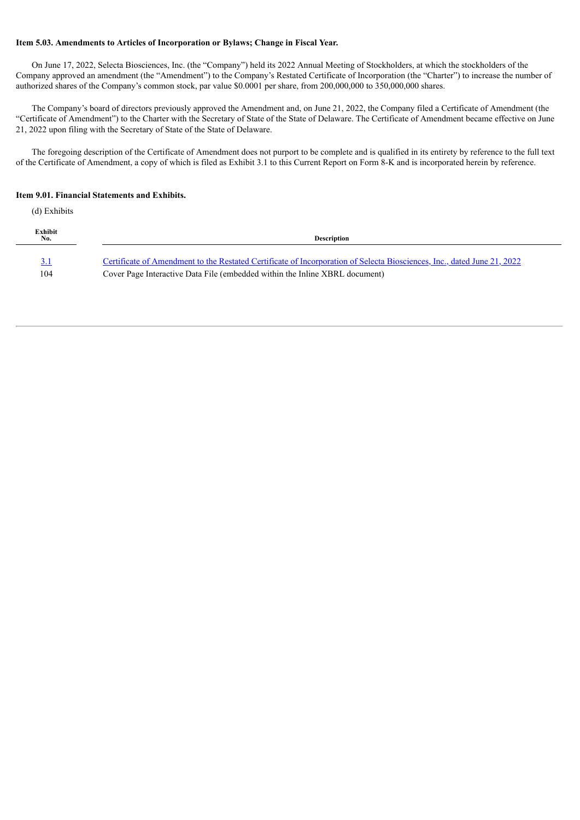#### **Item 5.03. Amendments to Articles of Incorporation or Bylaws; Change in Fiscal Year.**

On June 17, 2022, Selecta Biosciences, Inc. (the "Company") held its 2022 Annual Meeting of Stockholders, at which the stockholders of the Company approved an amendment (the "Amendment") to the Company's Restated Certificate of Incorporation (the "Charter") to increase the number of authorized shares of the Company's common stock, par value \$0.0001 per share, from 200,000,000 to 350,000,000 shares.

The Company's board of directors previously approved the Amendment and, on June 21, 2022, the Company filed a Certificate of Amendment (the "Certificate of Amendment") to the Charter with the Secretary of State of the State of Delaware. The Certificate of Amendment became effective on June 21, 2022 upon filing with the Secretary of State of the State of Delaware.

The foregoing description of the Certificate of Amendment does not purport to be complete and is qualified in its entirety by reference to the full text of the Certificate of Amendment, a copy of which is filed as Exhibit 3.1 to this Current Report on Form 8-K and is incorporated herein by reference.

#### **Item 9.01. Financial Statements and Exhibits.**

(d) Exhibits

| Exhibit<br>No. | <b>Description</b>                                                                                                      |
|----------------|-------------------------------------------------------------------------------------------------------------------------|
| <u>3.1</u>     | Certificate of Amendment to the Restated Certificate of Incorporation of Selecta Biosciences, Inc., dated June 21, 2022 |
| 104            | Cover Page Interactive Data File (embedded within the Inline XBRL document)                                             |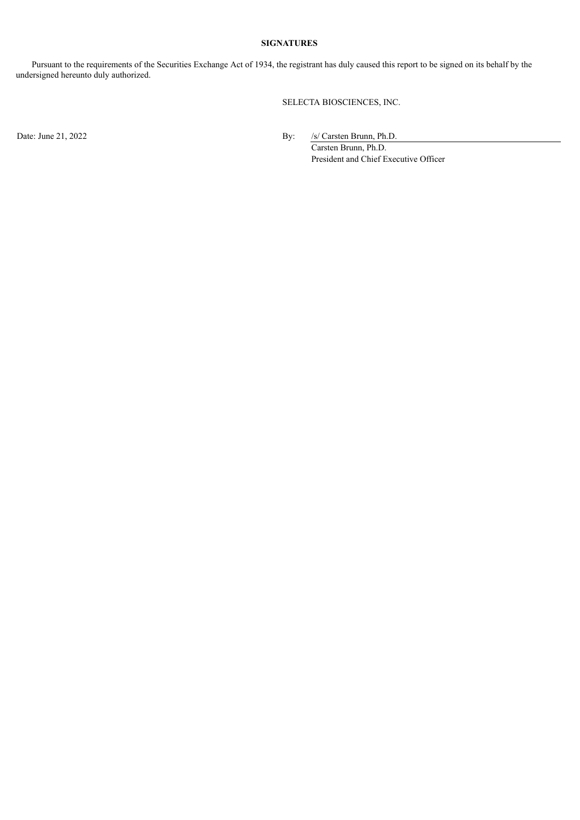#### **SIGNATURES**

Pursuant to the requirements of the Securities Exchange Act of 1934, the registrant has duly caused this report to be signed on its behalf by the undersigned hereunto duly authorized.

SELECTA BIOSCIENCES, INC.

Date: June 21, 2022 By: /s/ Carsten Brunn, Ph.D.

Carsten Brunn, Ph.D. President and Chief Executive Officer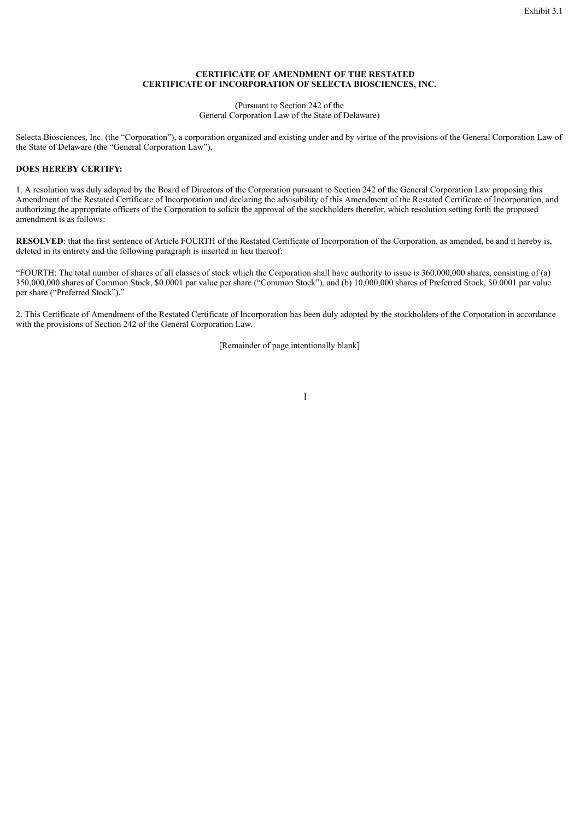#### **CERTIFICATE OF AMENDMENT OF THE RESTATED CERTIFICATE OF INCORPORATION OF SELECTA BIOSCIENCES, INC.**

(Pursuant to Section 242 of the General Corporation Law of the State of Delaware)

<span id="page-3-0"></span>Selecta Biosciences, Inc. (the "Corporation"), a corporation organized and existing under and by virtue of the provisions of the General Corporation Law of the State of Delaware (the "General Corporation Law"),

### **DOES HEREBY CERTIFY:**

1. A resolution was duly adopted by the Board of Directors of the Corporation pursuant to Section 242 of the General Corporation Law proposing this Amendment of the Restated Certificate of Incorporation and declaring the advisability of this Amendment of the Restated Certificate of Incorporation, and authorizing the appropriate officers of the Corporation to solicit the approval of the stockholders therefor, which resolution setting forth the proposed amendment is as follows:

**RESOLVED**: that the first sentence of Article FOURTH of the Restated Certificate of Incorporation of the Corporation, as amended, be and it hereby is, deleted in its entirety and the following paragraph is inserted in lieu thereof:

"FOURTH: The total number of shares of all classes of stock which the Corporation shall have authority to issue is 360,000,000 shares, consisting of (a) 350,000,000 shares of Common Stock, \$0.0001 par value per share ("Common Stock"), and (b) 10,000,000 shares of Preferred Stock, \$0.0001 par value per share ("Preferred Stock")."

2. This Certificate of Amendment of the Restated Certificate of Incorporation has been duly adopted by the stockholders of the Corporation in accordance with the provisions of Section 242 of the General Corporation Law.

[Remainder of page intentionally blank]

1